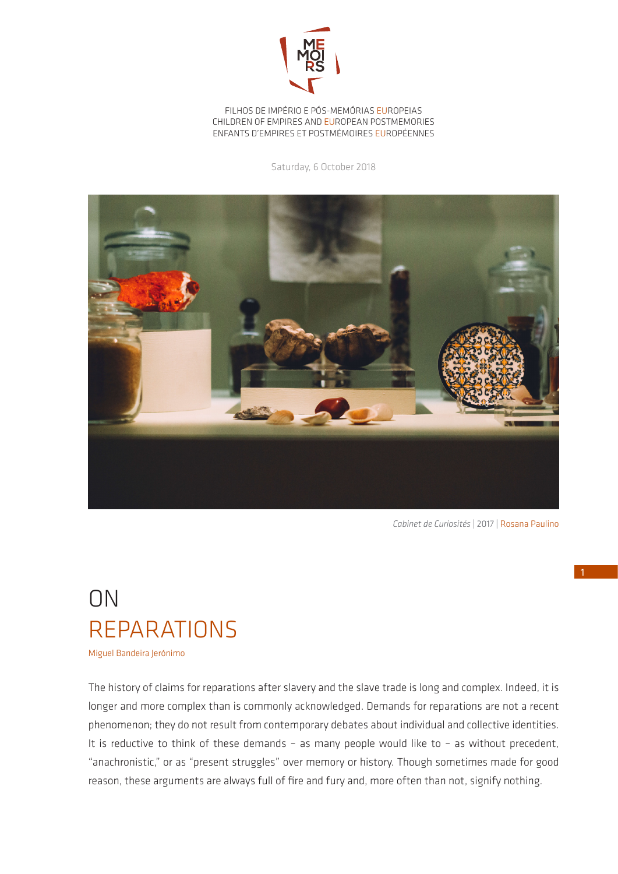

FILHOS DE IMPÉRIO E PÓS-MEMÓRIAS EUROPEIAS CHILDREN OF EMPIRES AND EUROPEAN POSTMEMORIES ENFANTS D'EMPIRES ET POSTMÉMOIRES EUROPÉENNES

Saturday, 6 October 2018



*Cabinet de Curiosités* | 2017 | Rosana Paulino

## ON REPARATIONS

Miguel Bandeira Jerónimo

The history of claims for reparations after slavery and the slave trade is long and complex. Indeed, it is longer and more complex than is commonly acknowledged. Demands for reparations are not a recent phenomenon; they do not result from contemporary debates about individual and collective identities. It is reductive to think of these demands – as many people would like to – as without precedent, "anachronistic," or as "present struggles" over memory or history. Though sometimes made for good reason, these arguments are always full of fire and fury and, more often than not, signify nothing.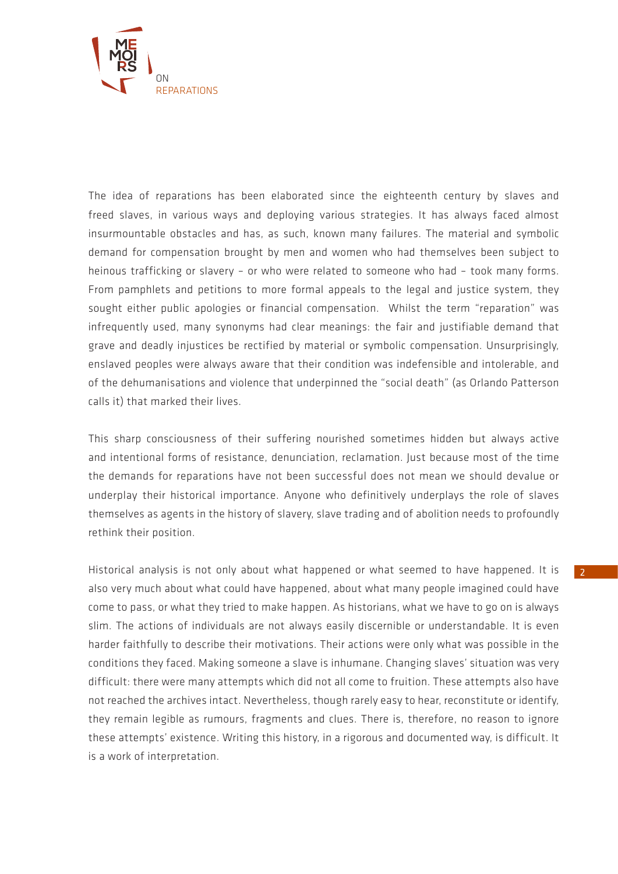

The idea of reparations has been elaborated since the eighteenth century by slaves and freed slaves, in various ways and deploying various strategies. It has always faced almost insurmountable obstacles and has, as such, known many failures. The material and symbolic demand for compensation brought by men and women who had themselves been subject to heinous trafficking or slavery – or who were related to someone who had – took many forms. From pamphlets and petitions to more formal appeals to the legal and justice system, they sought either public apologies or financial compensation. Whilst the term "reparation" was infrequently used, many synonyms had clear meanings: the fair and justifiable demand that grave and deadly injustices be rectified by material or symbolic compensation. Unsurprisingly, enslaved peoples were always aware that their condition was indefensible and intolerable, and of the dehumanisations and violence that underpinned the "social death" (as Orlando Patterson calls it) that marked their lives.

This sharp consciousness of their suffering nourished sometimes hidden but always active and intentional forms of resistance, denunciation, reclamation. Just because most of the time the demands for reparations have not been successful does not mean we should devalue or underplay their historical importance. Anyone who definitively underplays the role of slaves themselves as agents in the history of slavery, slave trading and of abolition needs to profoundly rethink their position.

Historical analysis is not only about what happened or what seemed to have happened. It is also very much about what could have happened, about what many people imagined could have come to pass, or what they tried to make happen. As historians, what we have to go on is always slim. The actions of individuals are not always easily discernible or understandable. It is even harder faithfully to describe their motivations. Their actions were only what was possible in the conditions they faced. Making someone a slave is inhumane. Changing slaves' situation was very difficult: there were many attempts which did not all come to fruition. These attempts also have not reached the archives intact. Nevertheless, though rarely easy to hear, reconstitute or identify, they remain legible as rumours, fragments and clues. There is, therefore, no reason to ignore these attempts' existence. Writing this history, in a rigorous and documented way, is difficult. It is a work of interpretation.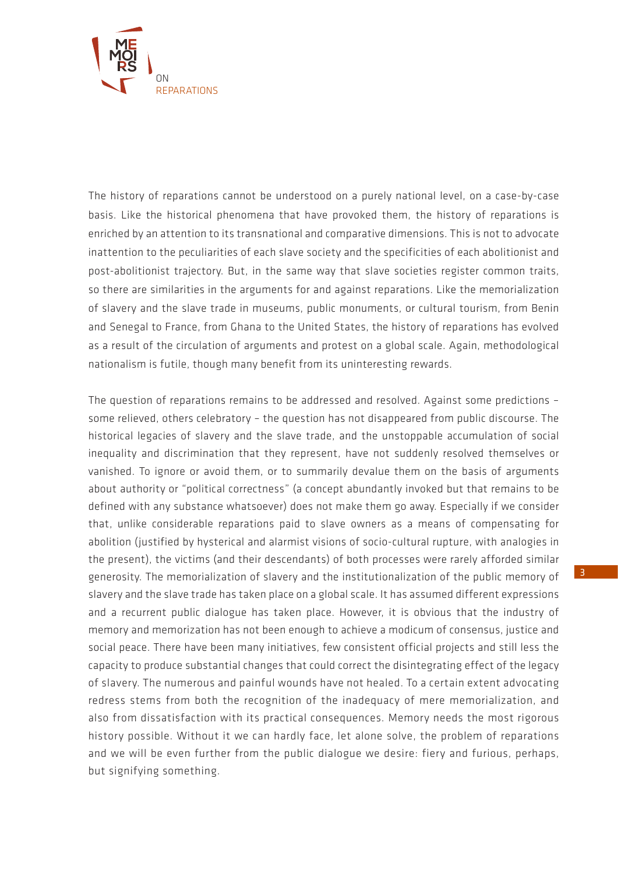

The history of reparations cannot be understood on a purely national level, on a case-by-case basis. Like the historical phenomena that have provoked them, the history of reparations is enriched by an attention to its transnational and comparative dimensions. This is not to advocate inattention to the peculiarities of each slave society and the specificities of each abolitionist and post-abolitionist trajectory. But, in the same way that slave societies register common traits, so there are similarities in the arguments for and against reparations. Like the memorialization of slavery and the slave trade in museums, public monuments, or cultural tourism, from Benin and Senegal to France, from Ghana to the United States, the history of reparations has evolved as a result of the circulation of arguments and protest on a global scale. Again, methodological nationalism is futile, though many benefit from its uninteresting rewards.

The question of reparations remains to be addressed and resolved. Against some predictions – some relieved, others celebratory – the question has not disappeared from public discourse. The historical legacies of slavery and the slave trade, and the unstoppable accumulation of social inequality and discrimination that they represent, have not suddenly resolved themselves or vanished. To ignore or avoid them, or to summarily devalue them on the basis of arguments about authority or "political correctness" (a concept abundantly invoked but that remains to be defined with any substance whatsoever) does not make them go away. Especially if we consider that, unlike considerable reparations paid to slave owners as a means of compensating for abolition (justified by hysterical and alarmist visions of socio-cultural rupture, with analogies in the present), the victims (and their descendants) of both processes were rarely afforded similar generosity. The memorialization of slavery and the institutionalization of the public memory of slavery and the slave trade has taken place on a global scale. It has assumed different expressions and a recurrent public dialogue has taken place. However, it is obvious that the industry of memory and memorization has not been enough to achieve a modicum of consensus, justice and social peace. There have been many initiatives, few consistent official projects and still less the capacity to produce substantial changes that could correct the disintegrating effect of the legacy of slavery. The numerous and painful wounds have not healed. To a certain extent advocating redress stems from both the recognition of the inadequacy of mere memorialization, and also from dissatisfaction with its practical consequences. Memory needs the most rigorous history possible. Without it we can hardly face, let alone solve, the problem of reparations and we will be even further from the public dialogue we desire: fiery and furious, perhaps, but signifying something.